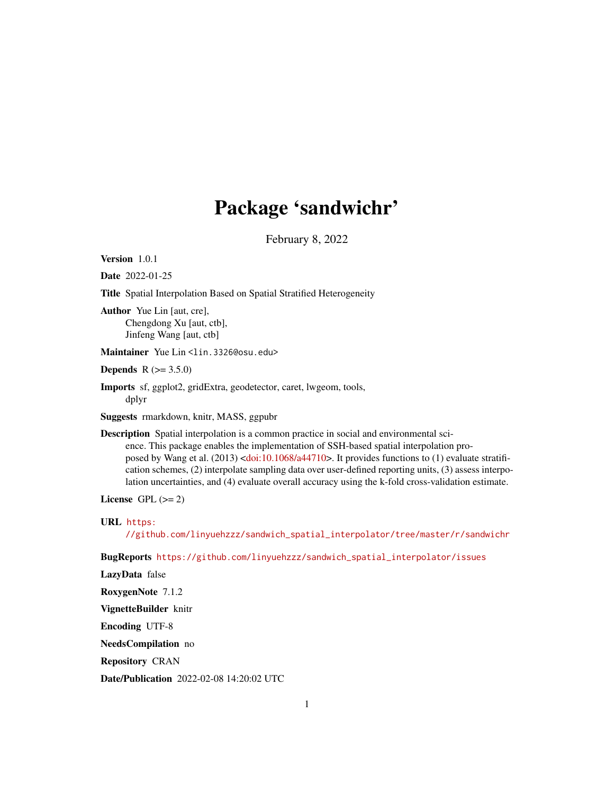## Package 'sandwichr'

February 8, 2022

Version 1.0.1

Date 2022-01-25

Title Spatial Interpolation Based on Spatial Stratified Heterogeneity

Author Yue Lin [aut, cre], Chengdong Xu [aut, ctb], Jinfeng Wang [aut, ctb]

Maintainer Yue Lin <lin.3326@osu.edu>

**Depends** R  $(>= 3.5.0)$ 

Imports sf, ggplot2, gridExtra, geodetector, caret, lwgeom, tools, dplyr

Suggests rmarkdown, knitr, MASS, ggpubr

Description Spatial interpolation is a common practice in social and environmental science. This package enables the implementation of SSH-based spatial interpolation proposed by Wang et al. (2013) [<doi:10.1068/a44710>](https://doi.org/10.1068/a44710). It provides functions to (1) evaluate stratification schemes, (2) interpolate sampling data over user-defined reporting units, (3) assess interpolation uncertainties, and (4) evaluate overall accuracy using the k-fold cross-validation estimate.

License GPL  $(>= 2)$ 

URL [https:](https://github.com/linyuehzzz/sandwich_spatial_interpolator/tree/master/r/sandwichr)

[//github.com/linyuehzzz/sandwich\\_spatial\\_interpolator/tree/master/r/sandwichr](https://github.com/linyuehzzz/sandwich_spatial_interpolator/tree/master/r/sandwichr)

BugReports [https://github.com/linyuehzzz/sandwich\\_spatial\\_interpolator/issues](https://github.com/linyuehzzz/sandwich_spatial_interpolator/issues)

LazyData false

RoxygenNote 7.1.2

VignetteBuilder knitr

Encoding UTF-8

NeedsCompilation no

Repository CRAN

Date/Publication 2022-02-08 14:20:02 UTC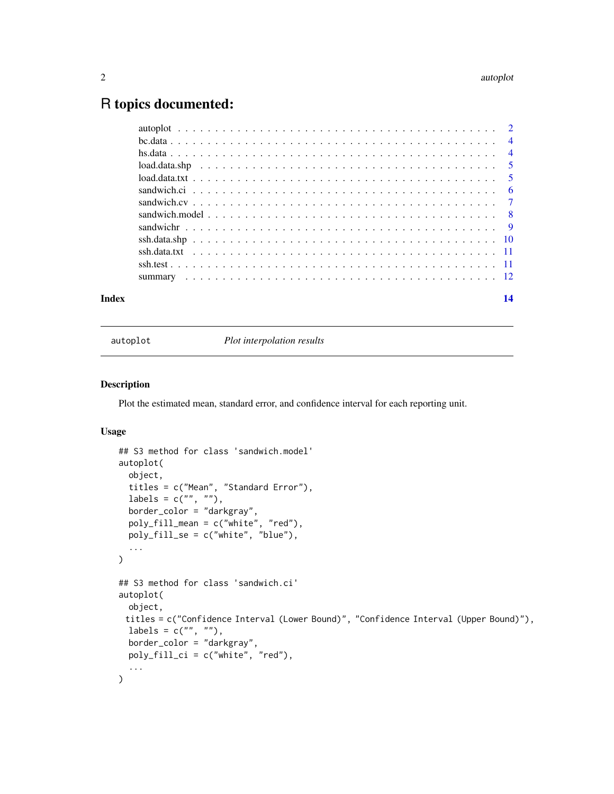## <span id="page-1-0"></span>R topics documented:

| Index |  |
|-------|--|
|       |  |
|       |  |
|       |  |
|       |  |
|       |  |
|       |  |
|       |  |
|       |  |
|       |  |
|       |  |
|       |  |
|       |  |
|       |  |

<span id="page-1-1"></span>

autoplot *Plot interpolation results*

#### Description

Plot the estimated mean, standard error, and confidence interval for each reporting unit.

## Usage

```
## S3 method for class 'sandwich.model'
autoplot(
 object,
  titles = c("Mean", "Standard Error"),
  labels = c("", ""),
 border_color = "darkgray",
 poly_fill_mean = c("white", "red"),
 poly_fill_se = c("white", "blue"),
  ...
)
## S3 method for class 'sandwich.ci'
autoplot(
 object,
 titles = c("Confidence Interval (Lower Bound)", "Confidence Interval (Upper Bound)"),
 labels = c("", ""),
 border_color = "darkgray",
 poly_fill_ci = c("white", "red"),
  ...
\mathcal{L}
```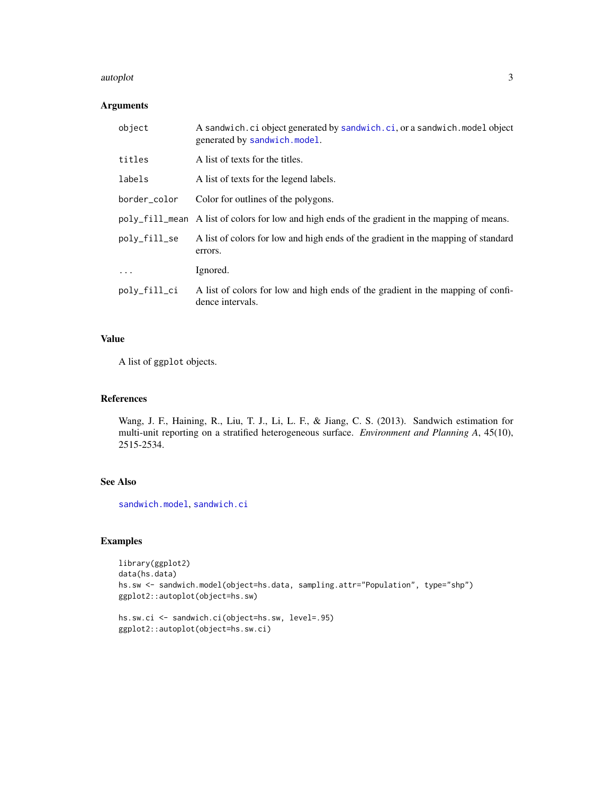#### <span id="page-2-0"></span>autoplot 3

## Arguments

| object       | A sandwich.ci object generated by sandwich.ci, or a sandwich.model object<br>generated by sandwich.model. |
|--------------|-----------------------------------------------------------------------------------------------------------|
| titles       | A list of texts for the titles.                                                                           |
| labels       | A list of texts for the legend labels.                                                                    |
| border_color | Color for outlines of the polygons.                                                                       |
|              | poly_fill_mean A list of colors for low and high ends of the gradient in the mapping of means.            |
| poly_fill_se | A list of colors for low and high ends of the gradient in the mapping of standard<br>errors.              |
| $\ddots$     | Ignored.                                                                                                  |
| poly_fill_ci | A list of colors for low and high ends of the gradient in the mapping of confi-<br>dence intervals.       |

## Value

A list of ggplot objects.

## References

Wang, J. F., Haining, R., Liu, T. J., Li, L. F., & Jiang, C. S. (2013). Sandwich estimation for multi-unit reporting on a stratified heterogeneous surface. *Environment and Planning A*, 45(10), 2515-2534.

## See Also

[sandwich.model](#page-7-1), [sandwich.ci](#page-5-1)

## Examples

```
library(ggplot2)
data(hs.data)
hs.sw <- sandwich.model(object=hs.data, sampling.attr="Population", type="shp")
ggplot2::autoplot(object=hs.sw)
```

```
hs.sw.ci <- sandwich.ci(object=hs.sw, level=.95)
ggplot2::autoplot(object=hs.sw.ci)
```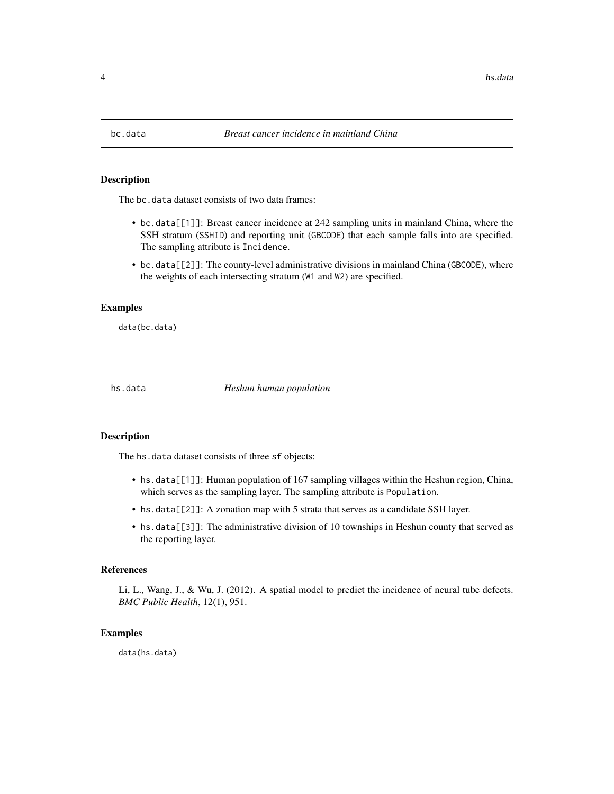<span id="page-3-0"></span>

#### Description

The bc.data dataset consists of two data frames:

- bc.data[[1]]: Breast cancer incidence at 242 sampling units in mainland China, where the SSH stratum (SSHID) and reporting unit (GBCODE) that each sample falls into are specified. The sampling attribute is Incidence.
- bc.data[[2]]: The county-level administrative divisions in mainland China (GBCODE), where the weights of each intersecting stratum (W1 and W2) are specified.

#### Examples

data(bc.data)

hs.data *Heshun human population*

#### Description

The hs.data dataset consists of three sf objects:

- hs.data[[1]]: Human population of 167 sampling villages within the Heshun region, China, which serves as the sampling layer. The sampling attribute is Population.
- hs.data[[2]]: A zonation map with 5 strata that serves as a candidate SSH layer.
- hs.data[[3]]: The administrative division of 10 townships in Heshun county that served as the reporting layer.

#### References

Li, L., Wang, J., & Wu, J. (2012). A spatial model to predict the incidence of neural tube defects. *BMC Public Health*, 12(1), 951.

#### Examples

data(hs.data)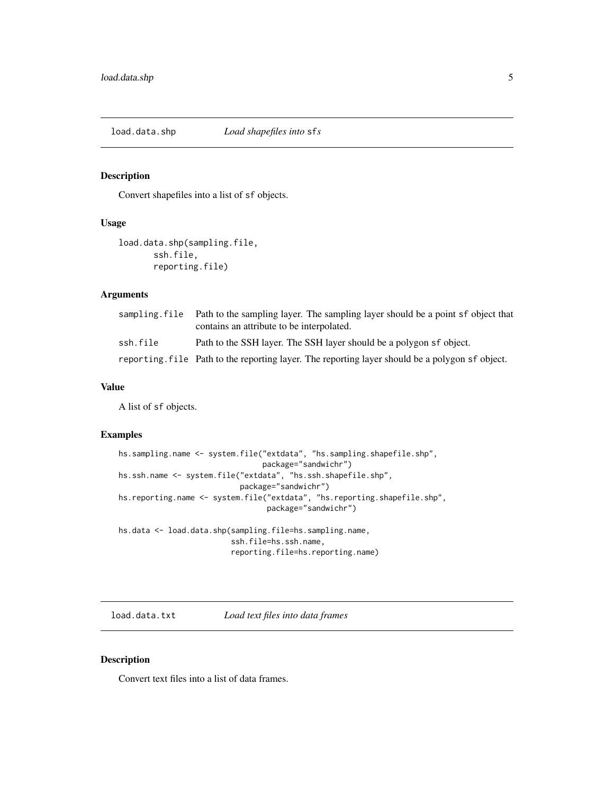<span id="page-4-1"></span><span id="page-4-0"></span>load.data.shp *Load shapefiles into* sf*s*

## Description

Convert shapefiles into a list of sf objects.

#### Usage

load.data.shp(sampling.file, ssh.file, reporting.file)

### Arguments

|          | sampling file Path to the sampling layer. The sampling layer should be a point sf object that<br>contains an attribute to be interpolated. |
|----------|--------------------------------------------------------------------------------------------------------------------------------------------|
| ssh.file | Path to the SSH layer. The SSH layer should be a polygon sf object.                                                                        |
|          | reporting. file Path to the reporting layer. The reporting layer should be a polygon sf object.                                            |

## Value

A list of sf objects.

## Examples

```
hs.sampling.name <- system.file("extdata", "hs.sampling.shapefile.shp",
                                package="sandwichr")
hs.ssh.name <- system.file("extdata", "hs.ssh.shapefile.shp",
                           package="sandwichr")
hs.reporting.name <- system.file("extdata", "hs.reporting.shapefile.shp",
                                 package="sandwichr")
hs.data <- load.data.shp(sampling.file=hs.sampling.name,
                         ssh.file=hs.ssh.name,
                         reporting.file=hs.reporting.name)
```
<span id="page-4-2"></span>load.data.txt *Load text files into data frames*

#### Description

Convert text files into a list of data frames.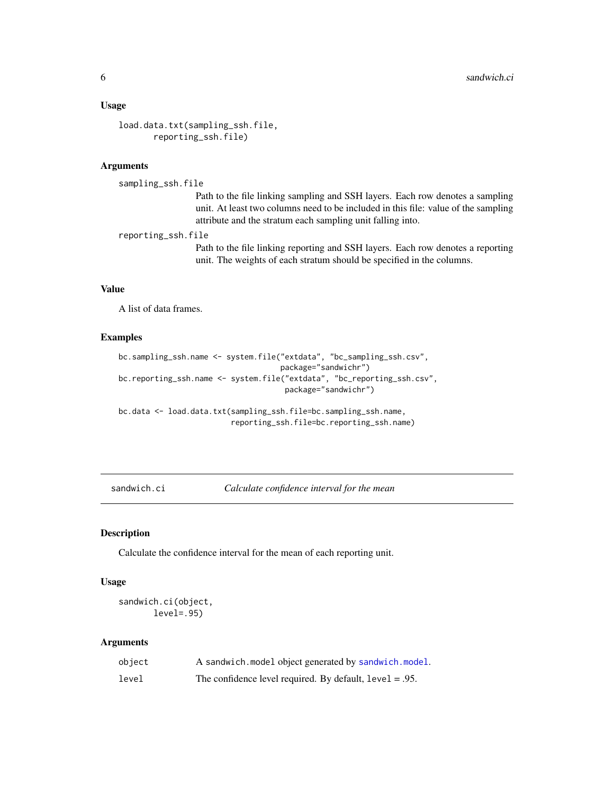#### <span id="page-5-0"></span>Usage

```
load.data.txt(sampling_ssh.file,
       reporting_ssh.file)
```
## Arguments

```
sampling_ssh.file
```
Path to the file linking sampling and SSH layers. Each row denotes a sampling unit. At least two columns need to be included in this file: value of the sampling attribute and the stratum each sampling unit falling into.

reporting\_ssh.file

Path to the file linking reporting and SSH layers. Each row denotes a reporting unit. The weights of each stratum should be specified in the columns.

## Value

A list of data frames.

## Examples

```
bc.sampling_ssh.name <- system.file("extdata", "bc_sampling_ssh.csv",
                                    package="sandwichr")
bc.reporting_ssh.name <- system.file("extdata", "bc_reporting_ssh.csv",
                                     package="sandwichr")
bc.data <- load.data.txt(sampling_ssh.file=bc.sampling_ssh.name,
```
reporting\_ssh.file=bc.reporting\_ssh.name)

<span id="page-5-1"></span>sandwich.ci *Calculate confidence interval for the mean*

#### Description

Calculate the confidence interval for the mean of each reporting unit.

#### Usage

```
sandwich.ci(object,
       level=.95)
```
#### Arguments

| object | A sandwich.model object generated by sandwich.model.       |
|--------|------------------------------------------------------------|
| level  | The confidence level required. By default, $level = .95$ . |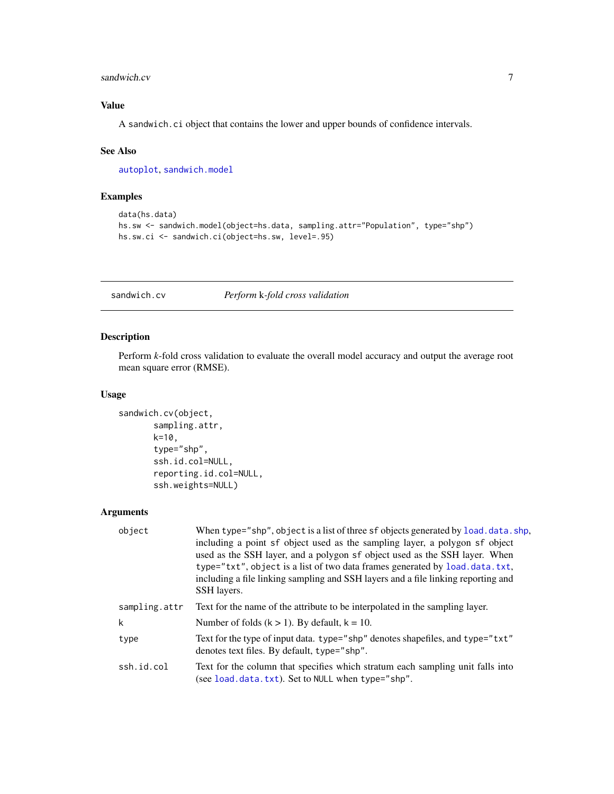## <span id="page-6-0"></span>sandwich.cv 7

## Value

A sandwich.ci object that contains the lower and upper bounds of confidence intervals.

#### See Also

[autoplot](#page-1-1), [sandwich.model](#page-7-1)

## Examples

```
data(hs.data)
hs.sw <- sandwich.model(object=hs.data, sampling.attr="Population", type="shp")
hs.sw.ci <- sandwich.ci(object=hs.sw, level=.95)
```
## sandwich.cv *Perform* k*-fold cross validation*

#### Description

Perform *k*-fold cross validation to evaluate the overall model accuracy and output the average root mean square error (RMSE).

#### Usage

```
sandwich.cv(object,
       sampling.attr,
       k=10,
       type="shp",
       ssh.id.col=NULL,
       reporting.id.col=NULL,
       ssh.weights=NULL)
```
## Arguments

| object        | When type="shp", object is a list of three sf objects generated by load. data. shp,<br>including a point sf object used as the sampling layer, a polygon sf object<br>used as the SSH layer, and a polygon sf object used as the SSH layer. When<br>type="txt", object is a list of two data frames generated by load.data.txt,<br>including a file linking sampling and SSH layers and a file linking reporting and<br>SSH layers. |
|---------------|-------------------------------------------------------------------------------------------------------------------------------------------------------------------------------------------------------------------------------------------------------------------------------------------------------------------------------------------------------------------------------------------------------------------------------------|
| sampling.attr | Text for the name of the attribute to be interpolated in the sampling layer.                                                                                                                                                                                                                                                                                                                                                        |
| k             | Number of folds $(k > 1)$ . By default, $k = 10$ .                                                                                                                                                                                                                                                                                                                                                                                  |
| type          | Text for the type of input data. type="shp" denotes shapefiles, and type="txt"<br>denotes text files. By default, type="shp".                                                                                                                                                                                                                                                                                                       |
| ssh.id.col    | Text for the column that specifies which stratum each sampling unit falls into<br>(see load.data.txt). Set to NULL when type="shp".                                                                                                                                                                                                                                                                                                 |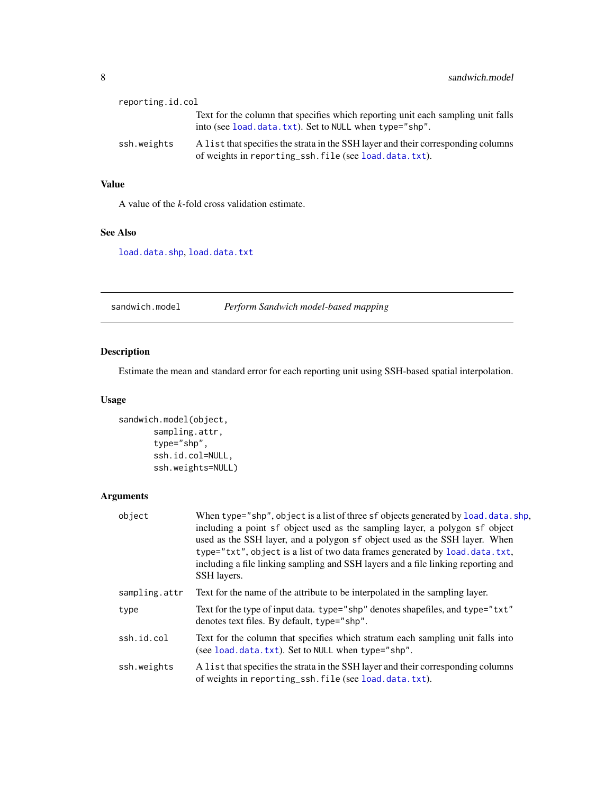<span id="page-7-0"></span>

| reporting.id.col |                                                                                                                                            |
|------------------|--------------------------------------------------------------------------------------------------------------------------------------------|
|                  | Text for the column that specifies which reporting unit each sampling unit falls<br>into (see load.data.txt). Set to NULL when type="shp". |
| ssh.weights      | A list that specifies the strata in the SSH layer and their corresponding columns<br>of weights in reporting_ssh.file (see load.data.txt). |

## Value

A value of the *k*-fold cross validation estimate.

#### See Also

[load.data.shp](#page-4-1), [load.data.txt](#page-4-2)

<span id="page-7-1"></span>sandwich.model *Perform Sandwich model-based mapping*

## Description

Estimate the mean and standard error for each reporting unit using SSH-based spatial interpolation.

## Usage

```
sandwich.model(object,
      sampling.attr,
       type="shp",
       ssh.id.col=NULL,
      ssh.weights=NULL)
```
## Arguments

| object        | When type="shp", object is a list of three sf objects generated by load. data. shp,<br>including a point sf object used as the sampling layer, a polygon sf object<br>used as the SSH layer, and a polygon sf object used as the SSH layer. When<br>type="txt", object is a list of two data frames generated by load.data.txt,<br>including a file linking sampling and SSH layers and a file linking reporting and<br>SSH layers. |
|---------------|-------------------------------------------------------------------------------------------------------------------------------------------------------------------------------------------------------------------------------------------------------------------------------------------------------------------------------------------------------------------------------------------------------------------------------------|
| sampling.attr | Text for the name of the attribute to be interpolated in the sampling layer.                                                                                                                                                                                                                                                                                                                                                        |
| type          | Text for the type of input data. type="shp" denotes shapefiles, and type="txt"<br>denotes text files. By default, type="shp".                                                                                                                                                                                                                                                                                                       |
| ssh.id.col    | Text for the column that specifies which stratum each sampling unit falls into<br>(see load.data.txt). Set to NULL when type="shp".                                                                                                                                                                                                                                                                                                 |
| ssh.weights   | A list that specifies the strata in the SSH layer and their corresponding columns<br>of weights in reporting_ssh.file (see load.data.txt).                                                                                                                                                                                                                                                                                          |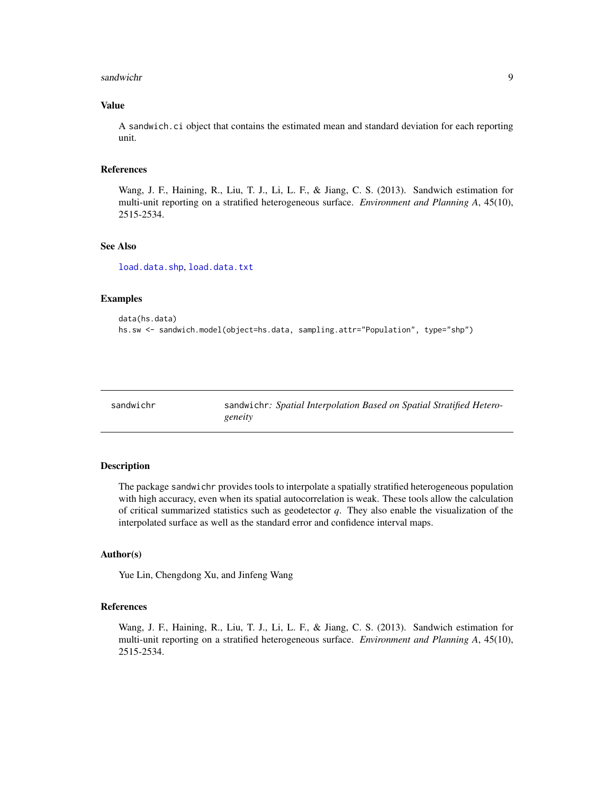#### <span id="page-8-0"></span>sandwichr 90 and 200 and 200 and 200 and 200 and 200 and 200 and 200 and 200 and 200 and 200 and 200 and 200 and 200 and 200 and 200 and 200 and 200 and 200 and 200 and 200 and 200 and 200 and 200 and 200 and 200 and 200 a

## Value

A sandwich.ci object that contains the estimated mean and standard deviation for each reporting unit.

#### References

Wang, J. F., Haining, R., Liu, T. J., Li, L. F., & Jiang, C. S. (2013). Sandwich estimation for multi-unit reporting on a stratified heterogeneous surface. *Environment and Planning A*, 45(10), 2515-2534.

#### See Also

[load.data.shp](#page-4-1), [load.data.txt](#page-4-2)

#### Examples

```
data(hs.data)
hs.sw <- sandwich.model(object=hs.data, sampling.attr="Population", type="shp")
```

| sandwichr |  |  |
|-----------|--|--|
|           |  |  |

sandwichr: Spatial Interpolation Based on Spatial Stratified Hetero*geneity*

#### Description

The package sandwichr provides tools to interpolate a spatially stratified heterogeneous population with high accuracy, even when its spatial autocorrelation is weak. These tools allow the calculation of critical summarized statistics such as geodetector *q*. They also enable the visualization of the interpolated surface as well as the standard error and confidence interval maps.

#### Author(s)

Yue Lin, Chengdong Xu, and Jinfeng Wang

#### References

Wang, J. F., Haining, R., Liu, T. J., Li, L. F., & Jiang, C. S. (2013). Sandwich estimation for multi-unit reporting on a stratified heterogeneous surface. *Environment and Planning A*, 45(10), 2515-2534.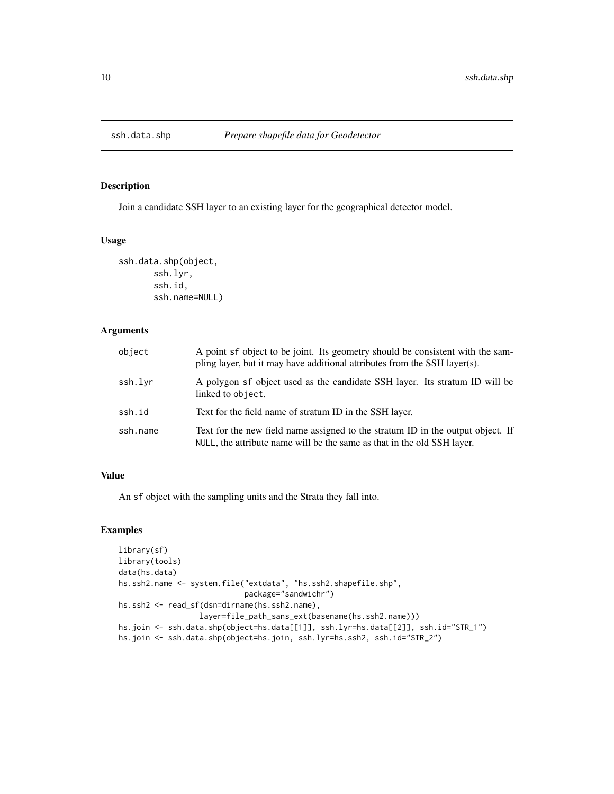<span id="page-9-1"></span><span id="page-9-0"></span>

## Description

Join a candidate SSH layer to an existing layer for the geographical detector model.

## Usage

```
ssh.data.shp(object,
       ssh.lyr,
       ssh.id,
       ssh.name=NULL)
```
## Arguments

| object   | A point sf object to be joint. Its geometry should be consistent with the sam-<br>pling layer, but it may have additional attributes from the SSH layer(s). |  |
|----------|-------------------------------------------------------------------------------------------------------------------------------------------------------------|--|
| ssh.lvr  | A polygon sf object used as the candidate SSH layer. Its stratum ID will be<br>linked to object.                                                            |  |
| ssh.id   | Text for the field name of stratum ID in the SSH layer.                                                                                                     |  |
| ssh.name | Text for the new field name assigned to the stratum ID in the output object. If<br>NULL, the attribute name will be the same as that in the old SSH layer.  |  |

## Value

An sf object with the sampling units and the Strata they fall into.

## Examples

```
library(sf)
library(tools)
data(hs.data)
hs.ssh2.name <- system.file("extdata", "hs.ssh2.shapefile.shp",
                            package="sandwichr")
hs.ssh2 <- read_sf(dsn=dirname(hs.ssh2.name),
                  layer=file_path_sans_ext(basename(hs.ssh2.name)))
hs.join <- ssh.data.shp(object=hs.data[[1]], ssh.lyr=hs.data[[2]], ssh.id="STR_1")
hs.join <- ssh.data.shp(object=hs.join, ssh.lyr=hs.ssh2, ssh.id="STR_2")
```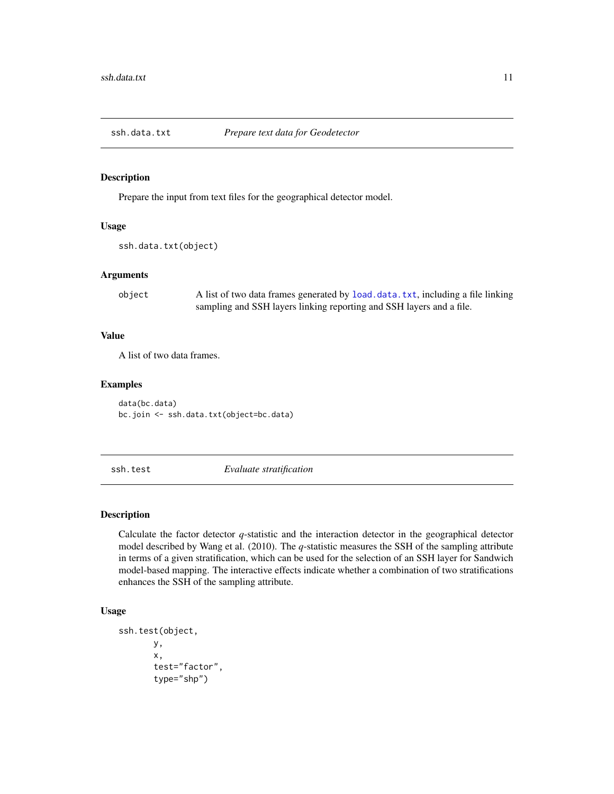<span id="page-10-1"></span><span id="page-10-0"></span>

## Description

Prepare the input from text files for the geographical detector model.

## Usage

```
ssh.data.txt(object)
```
## Arguments

| object | A list of two data frames generated by load. data. txt, including a file linking |
|--------|----------------------------------------------------------------------------------|
|        | sampling and SSH layers linking reporting and SSH layers and a file.             |

## Value

A list of two data frames.

## Examples

data(bc.data) bc.join <- ssh.data.txt(object=bc.data)

ssh.test *Evaluate stratification*

## Description

Calculate the factor detector *q*-statistic and the interaction detector in the geographical detector model described by Wang et al. (2010). The *q*-statistic measures the SSH of the sampling attribute in terms of a given stratification, which can be used for the selection of an SSH layer for Sandwich model-based mapping. The interactive effects indicate whether a combination of two stratifications enhances the SSH of the sampling attribute.

## Usage

```
ssh.test(object,
       y,
       x,
       test="factor",
       type="shp")
```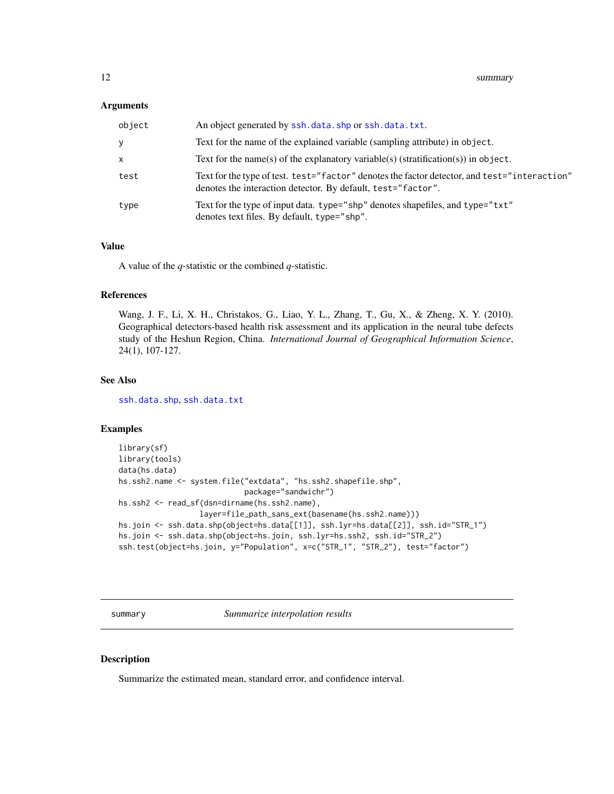#### <span id="page-11-0"></span>**Arguments**

| object       | An object generated by ssh. data. shp or ssh. data. txt.                                                                                                     |
|--------------|--------------------------------------------------------------------------------------------------------------------------------------------------------------|
| <b>Y</b>     | Text for the name of the explained variable (sampling attribute) in object.                                                                                  |
| $\mathsf{x}$ | Text for the name(s) of the explanatory variable(s) (stratification(s)) in object.                                                                           |
| test         | Text for the type of test. test="factor" denotes the factor detector, and test="interaction"<br>denotes the interaction detector. By default, test="factor". |
| type         | Text for the type of input data. type="shp" denotes shapefiles, and type="txt"<br>denotes text files. By default, type="shp".                                |

#### Value

A value of the *q*-statistic or the combined *q*-statistic.

#### References

Wang, J. F., Li, X. H., Christakos, G., Liao, Y. L., Zhang, T., Gu, X., & Zheng, X. Y. (2010). Geographical detectors-based health risk assessment and its application in the neural tube defects study of the Heshun Region, China. *International Journal of Geographical Information Science*, 24(1), 107-127.

## See Also

[ssh.data.shp](#page-9-1), [ssh.data.txt](#page-10-1)

## Examples

```
library(sf)
library(tools)
data(hs.data)
hs.ssh2.name <- system.file("extdata", "hs.ssh2.shapefile.shp",
                            package="sandwichr")
hs.ssh2 <- read_sf(dsn=dirname(hs.ssh2.name),
                  layer=file_path_sans_ext(basename(hs.ssh2.name)))
hs.join <- ssh.data.shp(object=hs.data[[1]], ssh.lyr=hs.data[[2]], ssh.id="STR_1")
hs.join <- ssh.data.shp(object=hs.join, ssh.lyr=hs.ssh2, ssh.id="STR_2")
ssh.test(object=hs.join, y="Population", x=c("STR_1", "STR_2"), test="factor")
```
summary *Summarize interpolation results*

### Description

Summarize the estimated mean, standard error, and confidence interval.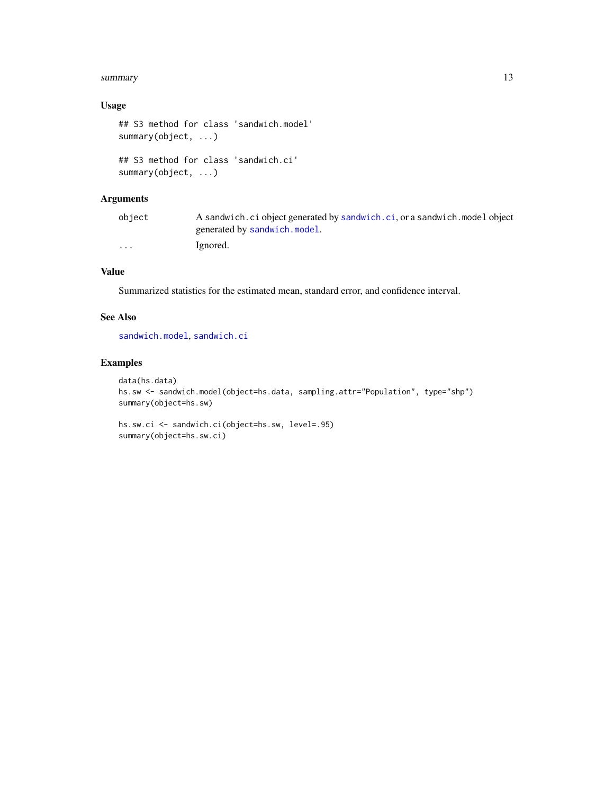#### <span id="page-12-0"></span>summary the contract of the contract of the contract of the contract of the contract of the contract of the contract of the contract of the contract of the contract of the contract of the contract of the contract of the co

## Usage

```
## S3 method for class 'sandwich.model'
summary(object, ...)
## S3 method for class 'sandwich.ci'
summary(object, ...)
```
## Arguments

| object                  | A sandwich. ci object generated by sandwich. ci, or a sandwich. model object |
|-------------------------|------------------------------------------------------------------------------|
|                         | generated by sandwich.model.                                                 |
| $\cdot$ $\cdot$ $\cdot$ | Ignored.                                                                     |

## Value

Summarized statistics for the estimated mean, standard error, and confidence interval.

## See Also

[sandwich.model](#page-7-1), [sandwich.ci](#page-5-1)

#### Examples

```
data(hs.data)
hs.sw <- sandwich.model(object=hs.data, sampling.attr="Population", type="shp")
summary(object=hs.sw)
```

```
hs.sw.ci <- sandwich.ci(object=hs.sw, level=.95)
summary(object=hs.sw.ci)
```